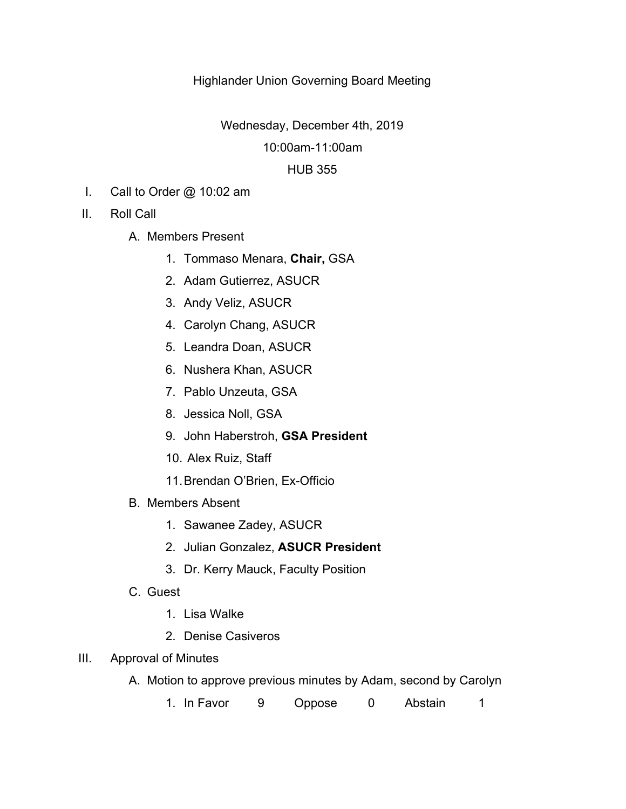## Highlander Union Governing Board Meeting

Wednesday, December 4th, 2019

## 10:00am-11:00am

## HUB 355

- I. Call to Order @ 10:02 am
- II. Roll Call
	- A. Members Present
		- 1. Tommaso Menara, **Chair,** GSA
		- 2. Adam Gutierrez, ASUCR
		- 3. Andy Veliz, ASUCR
		- 4. Carolyn Chang, ASUCR
		- 5. Leandra Doan, ASUCR
		- 6. Nushera Khan, ASUCR
		- 7. Pablo Unzeuta, GSA
		- 8. Jessica Noll, GSA
		- 9. John Haberstroh, **GSA President**
		- 10. Alex Ruiz, Staff
		- 11.Brendan O'Brien, Ex-Officio
	- B. Members Absent
		- 1. Sawanee Zadey, ASUCR
		- 2. Julian Gonzalez, **ASUCR President**
		- 3. Dr. Kerry Mauck, Faculty Position
	- C. Guest
		- 1. Lisa Walke
		- 2. Denise Casiveros
- III. Approval of Minutes
	- A. Motion to approve previous minutes by Adam, second by Carolyn
		- 1. In Favor 9 Oppose 0 Abstain 1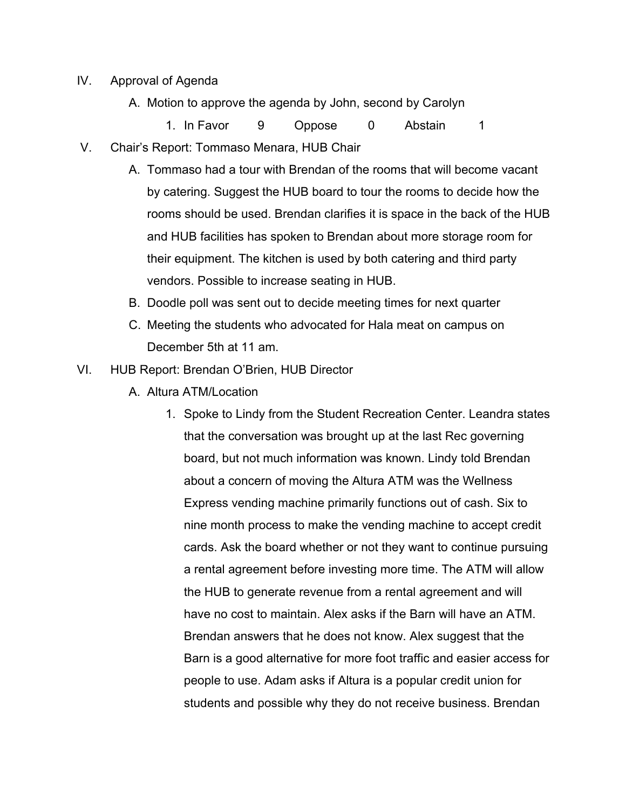- IV. Approval of Agenda
	- A. Motion to approve the agenda by John, second by Carolyn

1. In Favor 9 Oppose 0 Abstain 1

- V. Chair's Report: Tommaso Menara, HUB Chair
	- A. Tommaso had a tour with Brendan of the rooms that will become vacant by catering. Suggest the HUB board to tour the rooms to decide how the rooms should be used. Brendan clarifies it is space in the back of the HUB and HUB facilities has spoken to Brendan about more storage room for their equipment. The kitchen is used by both catering and third party vendors. Possible to increase seating in HUB.
	- B. Doodle poll was sent out to decide meeting times for next quarter
	- C. Meeting the students who advocated for Hala meat on campus on December 5th at 11 am.
- VI. HUB Report: Brendan O'Brien, HUB Director
	- A. Altura ATM/Location
		- 1. Spoke to Lindy from the Student Recreation Center. Leandra states that the conversation was brought up at the last Rec governing board, but not much information was known. Lindy told Brendan about a concern of moving the Altura ATM was the Wellness Express vending machine primarily functions out of cash. Six to nine month process to make the vending machine to accept credit cards. Ask the board whether or not they want to continue pursuing a rental agreement before investing more time. The ATM will allow the HUB to generate revenue from a rental agreement and will have no cost to maintain. Alex asks if the Barn will have an ATM. Brendan answers that he does not know. Alex suggest that the Barn is a good alternative for more foot traffic and easier access for people to use. Adam asks if Altura is a popular credit union for students and possible why they do not receive business. Brendan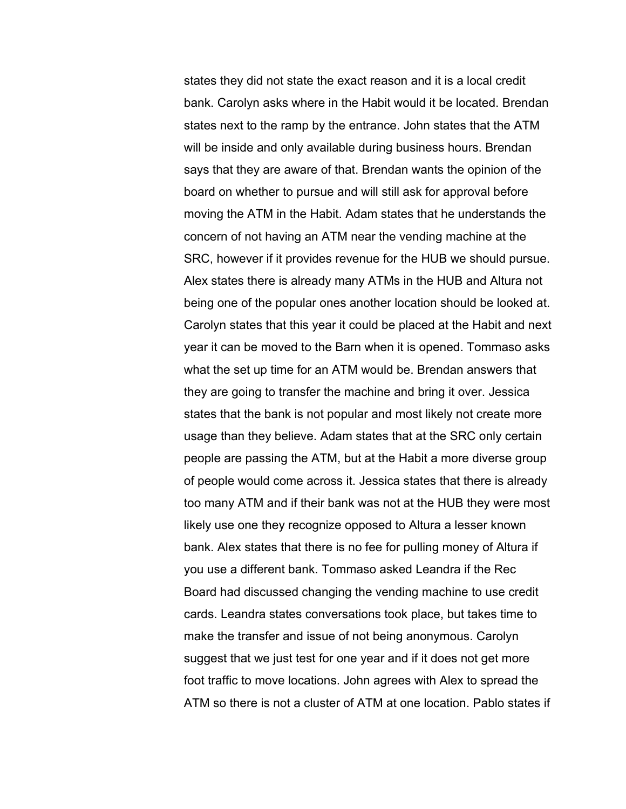states they did not state the exact reason and it is a local credit bank. Carolyn asks where in the Habit would it be located. Brendan states next to the ramp by the entrance. John states that the ATM will be inside and only available during business hours. Brendan says that they are aware of that. Brendan wants the opinion of the board on whether to pursue and will still ask for approval before moving the ATM in the Habit. Adam states that he understands the concern of not having an ATM near the vending machine at the SRC, however if it provides revenue for the HUB we should pursue. Alex states there is already many ATMs in the HUB and Altura not being one of the popular ones another location should be looked at. Carolyn states that this year it could be placed at the Habit and next year it can be moved to the Barn when it is opened. Tommaso asks what the set up time for an ATM would be. Brendan answers that they are going to transfer the machine and bring it over. Jessica states that the bank is not popular and most likely not create more usage than they believe. Adam states that at the SRC only certain people are passing the ATM, but at the Habit a more diverse group of people would come across it. Jessica states that there is already too many ATM and if their bank was not at the HUB they were most likely use one they recognize opposed to Altura a lesser known bank. Alex states that there is no fee for pulling money of Altura if you use a different bank. Tommaso asked Leandra if the Rec Board had discussed changing the vending machine to use credit cards. Leandra states conversations took place, but takes time to make the transfer and issue of not being anonymous. Carolyn suggest that we just test for one year and if it does not get more foot traffic to move locations. John agrees with Alex to spread the ATM so there is not a cluster of ATM at one location. Pablo states if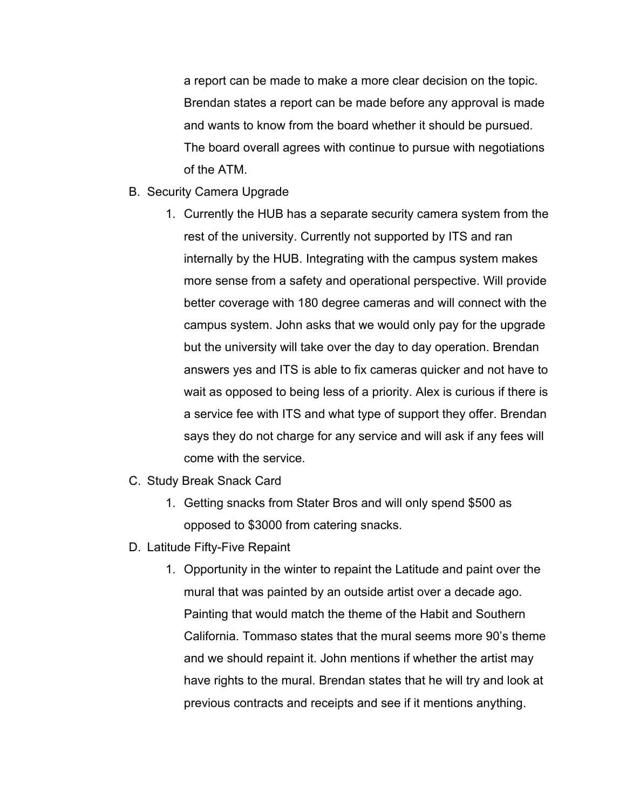a report can be made to make a more clear decision on the topic. Brendan states a report can be made before any approval is made and wants to know from the board whether it should be pursued. The board overall agrees with continue to pursue with negotiations of the ATM.

- B. Security Camera Upgrade
	- 1. Currently the HUB has a separate security camera system from the rest of the university. Currently not supported by ITS and ran internally by the HUB. Integrating with the campus system makes more sense from a safety and operational perspective. Will provide better coverage with 180 degree cameras and will connect with the campus system. John asks that we would only pay for the upgrade but the university will take over the day to day operation. Brendan answers yes and ITS is able to fix cameras quicker and not have to wait as opposed to being less of a priority. Alex is curious if there is a service fee with ITS and what type of support they offer. Brendan says they do not charge for any service and will ask if any fees will come with the service.
- C. Study Break Snack Card
	- 1. Getting snacks from Stater Bros and will only spend \$500 as opposed to \$3000 from catering snacks.
- D. Latitude Fifty-Five Repaint
	- 1. Opportunity in the winter to repaint the Latitude and paint over the mural that was painted by an outside artist over a decade ago. Painting that would match the theme of the Habit and Southern California. Tommaso states that the mural seems more 90's theme and we should repaint it. John mentions if whether the artist may have rights to the mural. Brendan states that he will try and look at previous contracts and receipts and see if it mentions anything.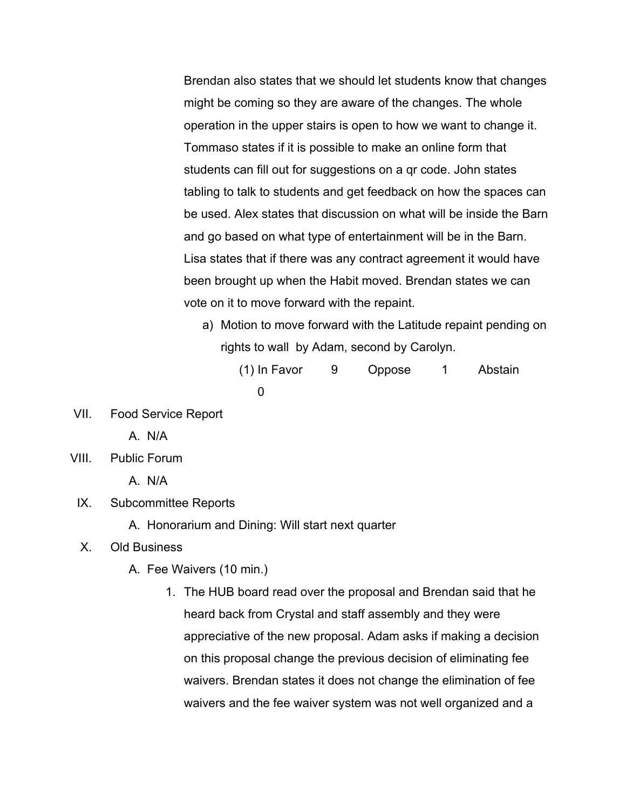Brendan also states that we should let students know that changes might be coming so they are aware of the changes. The whole operation in the upper stairs is open to how we want to change it. Tommaso states if it is possible to make an online form that students can fill out for suggestions on a qr code. John states tabling to talk to students and get feedback on how the spaces can be used. Alex states that discussion on what will be inside the Barn and go based on what type of entertainment will be in the Barn. Lisa states that if there was any contract agreement it would have been brought up when the Habit moved. Brendan states we can vote on it to move forward with the repaint.

- a) Motion to move forward with the Latitude repaint pending on rights to wall by Adam, second by Carolyn.
	- (1) In Favor 9 Oppose 1 Abstain 0
- VII. Food Service Report
	- A. N/A
- VIII. Public Forum

A. N/A

- IX. Subcommittee Reports
	- A. Honorarium and Dining: Will start next quarter
- X. Old Business
	- A. Fee Waivers (10 min.)
		- 1. The HUB board read over the proposal and Brendan said that he heard back from Crystal and staff assembly and they were appreciative of the new proposal. Adam asks if making a decision on this proposal change the previous decision of eliminating fee waivers. Brendan states it does not change the elimination of fee waivers and the fee waiver system was not well organized and a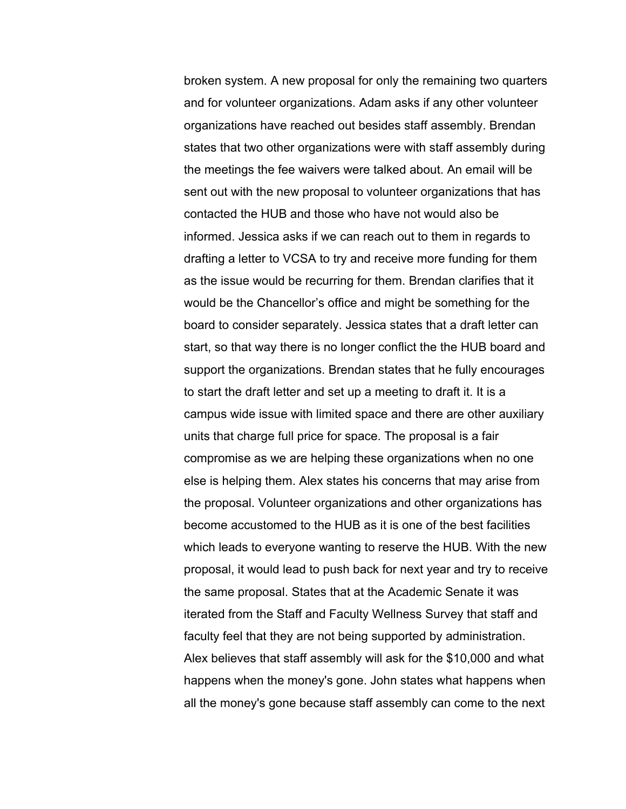broken system. A new proposal for only the remaining two quarters and for volunteer organizations. Adam asks if any other volunteer organizations have reached out besides staff assembly. Brendan states that two other organizations were with staff assembly during the meetings the fee waivers were talked about. An email will be sent out with the new proposal to volunteer organizations that has contacted the HUB and those who have not would also be informed. Jessica asks if we can reach out to them in regards to drafting a letter to VCSA to try and receive more funding for them as the issue would be recurring for them. Brendan clarifies that it would be the Chancellor's office and might be something for the board to consider separately. Jessica states that a draft letter can start, so that way there is no longer conflict the the HUB board and support the organizations. Brendan states that he fully encourages to start the draft letter and set up a meeting to draft it. It is a campus wide issue with limited space and there are other auxiliary units that charge full price for space. The proposal is a fair compromise as we are helping these organizations when no one else is helping them. Alex states his concerns that may arise from the proposal. Volunteer organizations and other organizations has become accustomed to the HUB as it is one of the best facilities which leads to everyone wanting to reserve the HUB. With the new proposal, it would lead to push back for next year and try to receive the same proposal. States that at the Academic Senate it was iterated from the Staff and Faculty Wellness Survey that staff and faculty feel that they are not being supported by administration. Alex believes that staff assembly will ask for the \$10,000 and what happens when the money's gone. John states what happens when all the money's gone because staff assembly can come to the next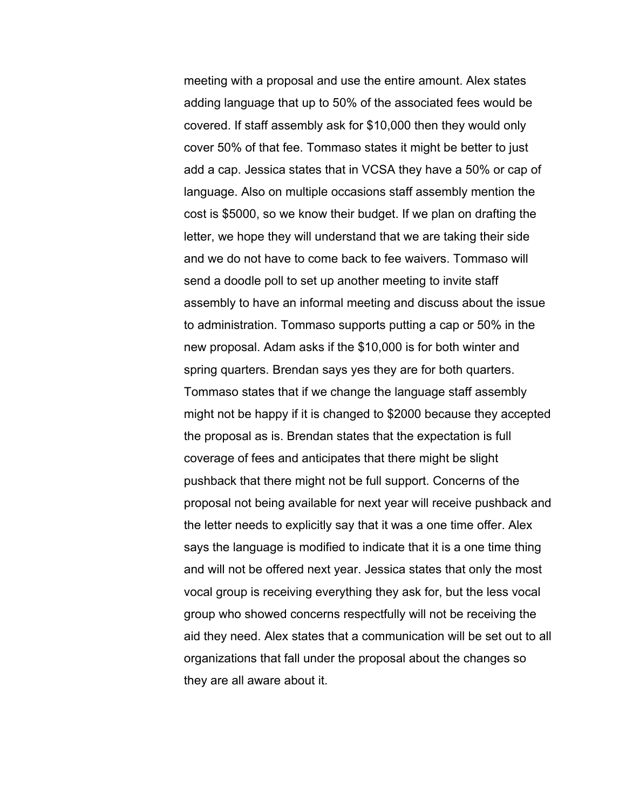meeting with a proposal and use the entire amount. Alex states adding language that up to 50% of the associated fees would be covered. If staff assembly ask for \$10,000 then they would only cover 50% of that fee. Tommaso states it might be better to just add a cap. Jessica states that in VCSA they have a 50% or cap of language. Also on multiple occasions staff assembly mention the cost is \$5000, so we know their budget. If we plan on drafting the letter, we hope they will understand that we are taking their side and we do not have to come back to fee waivers. Tommaso will send a doodle poll to set up another meeting to invite staff assembly to have an informal meeting and discuss about the issue to administration. Tommaso supports putting a cap or 50% in the new proposal. Adam asks if the \$10,000 is for both winter and spring quarters. Brendan says yes they are for both quarters. Tommaso states that if we change the language staff assembly might not be happy if it is changed to \$2000 because they accepted the proposal as is. Brendan states that the expectation is full coverage of fees and anticipates that there might be slight pushback that there might not be full support. Concerns of the proposal not being available for next year will receive pushback and the letter needs to explicitly say that it was a one time offer. Alex says the language is modified to indicate that it is a one time thing and will not be offered next year. Jessica states that only the most vocal group is receiving everything they ask for, but the less vocal group who showed concerns respectfully will not be receiving the aid they need. Alex states that a communication will be set out to all organizations that fall under the proposal about the changes so they are all aware about it.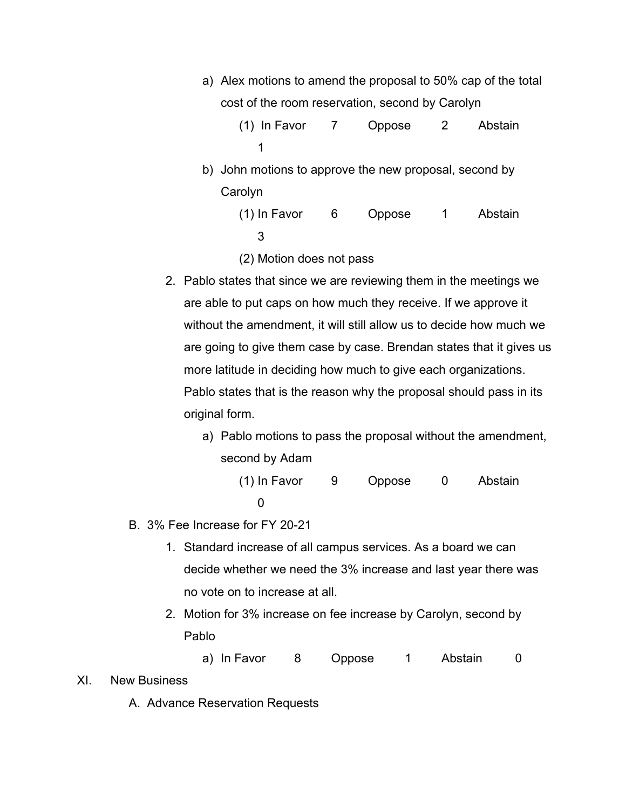- a) Alex motions to amend the proposal to 50% cap of the total cost of the room reservation, second by Carolyn
	- (1) In Favor 7 Oppose 2 Abstain 1
- b) John motions to approve the new proposal, second by Carolyn
	- (1) In Favor 6 Oppose 1 Abstain 3
	- (2) Motion does not pass
- 2. Pablo states that since we are reviewing them in the meetings we are able to put caps on how much they receive. If we approve it without the amendment, it will still allow us to decide how much we are going to give them case by case. Brendan states that it gives us more latitude in deciding how much to give each organizations. Pablo states that is the reason why the proposal should pass in its original form.
	- a) Pablo motions to pass the proposal without the amendment, second by Adam
		- (1) In Favor 9 Oppose 0 Abstain  $\Omega$
- B. 3% Fee Increase for FY 20-21
	- 1. Standard increase of all campus services. As a board we can decide whether we need the 3% increase and last year there was no vote on to increase at all.
	- 2. Motion for 3% increase on fee increase by Carolyn, second by Pablo
		- a) In Favor 8 Oppose 1 Abstain 0
- XI. New Business
	- A. Advance Reservation Requests